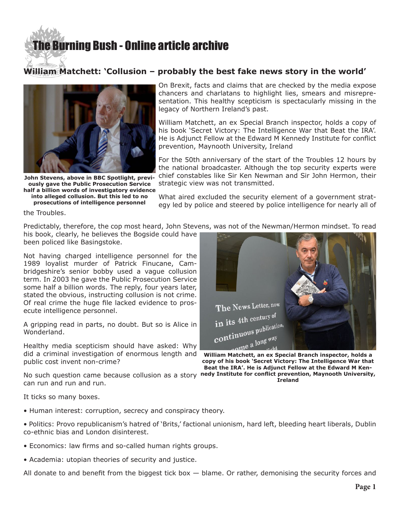## **[The Burning Bush - Online article archive](http://www.ivanfoster.net)**

## **William Matchett: 'Collusion – probably the best fake news story in the world'**



**John Stevens, above in BBC Spotlight, previously gave the Public Prosecution Service half a billion words of investigatory evidence into alleged collusion. But this led to no** 

**prosecutions of intelligence personnel**

On Brexit, facts and claims that are checked by the media expose chancers and charlatans to highlight lies, smears and misrepresentation. This healthy scepticism is spectacularly missing in the legacy of Northern Ireland's past.

William Matchett, an ex Special Branch inspector, holds a copy of his book 'Secret Victory: The Intelligence War that Beat the IRA'. He is Adjunct Fellow at the Edward M Kennedy Institute for conflict prevention, Maynooth University, Ireland

For the 50th anniversary of the start of the Troubles 12 hours by the national broadcaster. Although the top security experts were chief constables like Sir Ken Newman and Sir John Hermon, their strategic view was not transmitted.

What aired excluded the security element of a government strategy led by police and steered by police intelligence for nearly all of

the Troubles.

Predictably, therefore, the cop most heard, John Stevens, was not of the Newman/Hermon mindset. To read his book, clearly, he believes the Bogside could have

been policed like Basingstoke.

Not having charged intelligence personnel for the 1989 loyalist murder of Patrick Finucane, Cambridgeshire's senior bobby used a vague collusion term. In 2003 he gave the Public Prosecution Service some half a billion words. The reply, four years later, stated the obvious, instructing collusion is not crime. Of real crime the huge file lacked evidence to prosecute intelligence personnel.

A gripping read in parts, no doubt. But so is Alice in Wonderland.

Healthy media scepticism should have asked: Why did a criminal investigation of enormous length and **William Matchett, an ex Special Branch inspector, holds a**  public cost invent non-crime?



**copy of his book 'Secret Victory: The Intelligence War that Beat the IRA'. He is Adjunct Fellow at the Edward M Ken-**

**Ireland**

No such question came because collusion as a story nedy Institute for conflict prevention, Maynooth University, can run and run and run.

It ticks so many boxes.

- Human interest: corruption, secrecy and conspiracy theory.
- Politics: Provo republicanism's hatred of 'Brits,' factional unionism, hard left, bleeding heart liberals, Dublin co-ethnic bias and London disinterest.
- Economics: law firms and so-called human rights groups.
- Academia: utopian theories of security and justice.

All donate to and benefit from the biggest tick box  $-$  blame. Or rather, demonising the security forces and